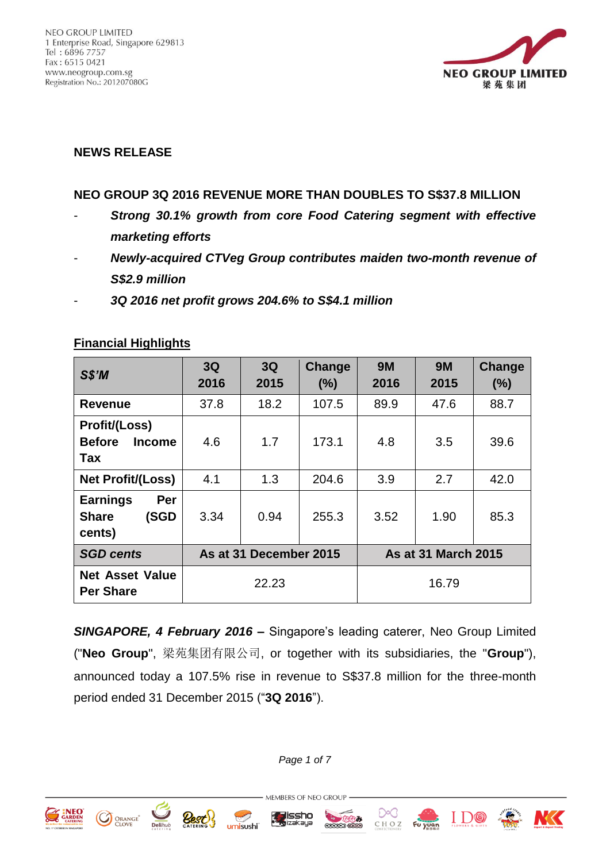

# **NEWS RELEASE**

#### **NEO GROUP 3Q 2016 REVENUE MORE THAN DOUBLES TO S\$37.8 MILLION**

- *Strong 30.1% growth from core Food Catering segment with effective marketing efforts*
- *Newly-acquired CTVeg Group contributes maiden two-month revenue of S\$2.9 million*
- *3Q 2016 net profit grows 204.6% to S\$4.1 million*

| SS'M                                                          | 3Q<br>2016             | 3Q<br>2015 | Change<br>(%) | <b>9M</b><br>2016          | <b>9M</b><br>2015 | Change<br>(%) |
|---------------------------------------------------------------|------------------------|------------|---------------|----------------------------|-------------------|---------------|
| <b>Revenue</b>                                                | 37.8                   | 18.2       | 107.5         | 89.9                       | 47.6              | 88.7          |
| <b>Profit/(Loss)</b><br><b>Before</b><br><b>Income</b><br>Tax | 4.6                    | 1.7        | 173.1         | 4.8                        | 3.5               | 39.6          |
| Net Profit/(Loss)                                             | 4.1                    | 1.3        | 204.6         | 3.9                        | 2.7               | 42.0          |
| <b>Earnings</b><br>Per<br><b>Share</b><br>(SGD<br>cents)      | 3.34                   | 0.94       | 255.3         | 3.52                       | 1.90              | 85.3          |
| <b>SGD cents</b>                                              | As at 31 December 2015 |            |               | <b>As at 31 March 2015</b> |                   |               |
| <b>Net Asset Value</b><br><b>Per Share</b>                    | 22.23                  |            |               | 16.79                      |                   |               |

#### **Financial Highlights**

*SINGAPORE, 4 February 2016* **–** Singapore's leading caterer, Neo Group Limited ("**Neo Group**", 梁苑集团有限公司, or together with its subsidiaries, the "**Group**"), announced today a 107.5% rise in revenue to S\$37.8 million for the three-month period ended 31 December 2015 ("**3Q 2016**").

*Page 1 of 7*

MEMBERS OF NEO GROUP

Zissho



**CO** ORANGE

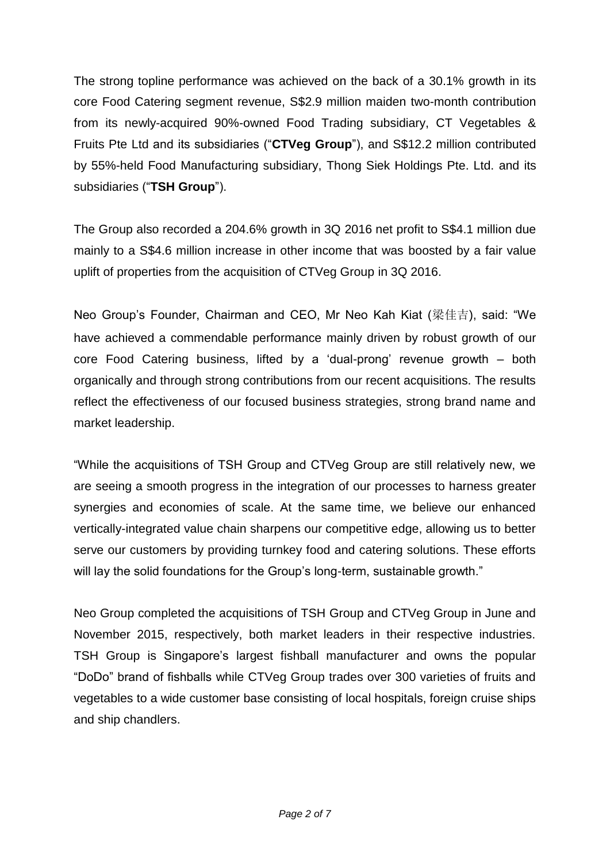The strong topline performance was achieved on the back of a 30.1% growth in its core Food Catering segment revenue, S\$2.9 million maiden two-month contribution from its newly-acquired 90%-owned Food Trading subsidiary, CT Vegetables & Fruits Pte Ltd and its subsidiaries ("**CTVeg Group**"), and S\$12.2 million contributed by 55%-held Food Manufacturing subsidiary, Thong Siek Holdings Pte. Ltd. and its subsidiaries ("**TSH Group**").

The Group also recorded a 204.6% growth in 3Q 2016 net profit to S\$4.1 million due mainly to a S\$4.6 million increase in other income that was boosted by a fair value uplift of properties from the acquisition of CTVeg Group in 3Q 2016.

Neo Group's Founder, Chairman and CEO, Mr Neo Kah Kiat (梁佳吉), said: "We have achieved a commendable performance mainly driven by robust growth of our core Food Catering business, lifted by a 'dual-prong' revenue growth – both organically and through strong contributions from our recent acquisitions. The results reflect the effectiveness of our focused business strategies, strong brand name and market leadership.

"While the acquisitions of TSH Group and CTVeg Group are still relatively new, we are seeing a smooth progress in the integration of our processes to harness greater synergies and economies of scale. At the same time, we believe our enhanced vertically-integrated value chain sharpens our competitive edge, allowing us to better serve our customers by providing turnkey food and catering solutions. These efforts will lay the solid foundations for the Group's long-term, sustainable growth."

Neo Group completed the acquisitions of TSH Group and CTVeg Group in June and November 2015, respectively, both market leaders in their respective industries. TSH Group is Singapore's largest fishball manufacturer and owns the popular "DoDo" brand of fishballs while CTVeg Group trades over 300 varieties of fruits and vegetables to a wide customer base consisting of local hospitals, foreign cruise ships and ship chandlers.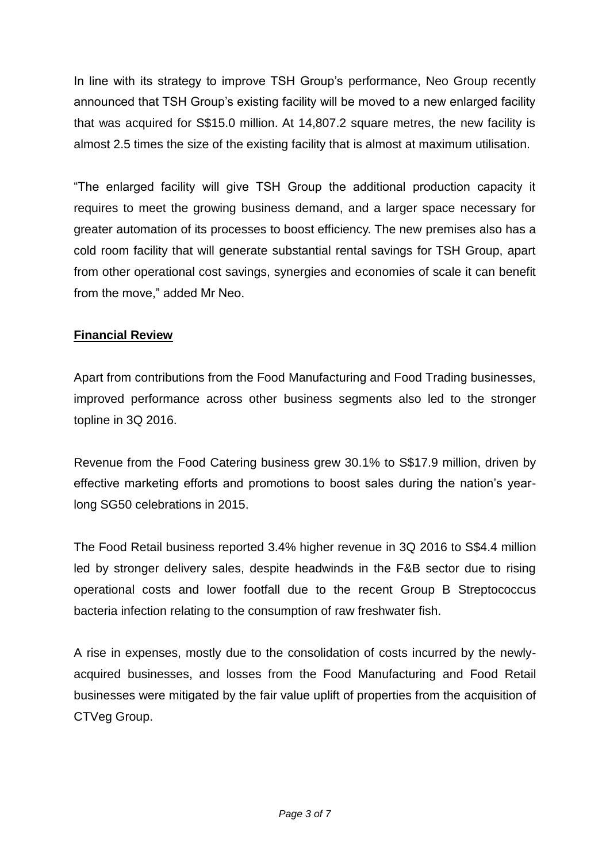In line with its strategy to improve TSH Group's performance, Neo Group recently announced that TSH Group's existing facility will be moved to a new enlarged facility that was acquired for S\$15.0 million. At 14,807.2 square metres, the new facility is almost 2.5 times the size of the existing facility that is almost at maximum utilisation.

"The enlarged facility will give TSH Group the additional production capacity it requires to meet the growing business demand, and a larger space necessary for greater automation of its processes to boost efficiency. The new premises also has a cold room facility that will generate substantial rental savings for TSH Group, apart from other operational cost savings, synergies and economies of scale it can benefit from the move," added Mr Neo.

## **Financial Review**

Apart from contributions from the Food Manufacturing and Food Trading businesses, improved performance across other business segments also led to the stronger topline in 3Q 2016.

Revenue from the Food Catering business grew 30.1% to S\$17.9 million, driven by effective marketing efforts and promotions to boost sales during the nation's yearlong SG50 celebrations in 2015.

The Food Retail business reported 3.4% higher revenue in 3Q 2016 to S\$4.4 million led by stronger delivery sales, despite headwinds in the F&B sector due to rising operational costs and lower footfall due to the recent Group B Streptococcus bacteria infection relating to the consumption of raw freshwater fish.

A rise in expenses, mostly due to the consolidation of costs incurred by the newlyacquired businesses, and losses from the Food Manufacturing and Food Retail businesses were mitigated by the fair value uplift of properties from the acquisition of CTVeg Group.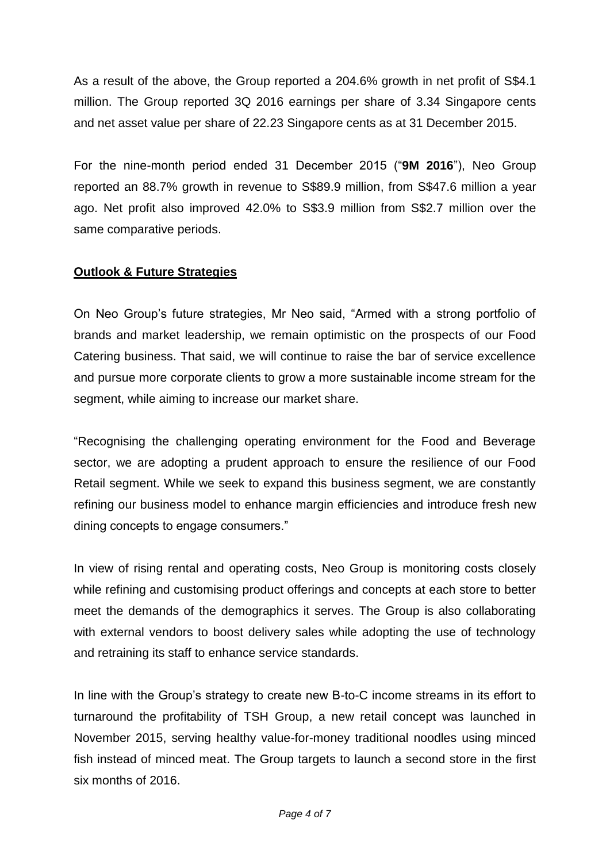As a result of the above, the Group reported a 204.6% growth in net profit of S\$4.1 million. The Group reported 3Q 2016 earnings per share of 3.34 Singapore cents and net asset value per share of 22.23 Singapore cents as at 31 December 2015.

For the nine-month period ended 31 December 2015 ("**9M 2016**"), Neo Group reported an 88.7% growth in revenue to S\$89.9 million, from S\$47.6 million a year ago. Net profit also improved 42.0% to S\$3.9 million from S\$2.7 million over the same comparative periods.

### **Outlook & Future Strategies**

On Neo Group's future strategies, Mr Neo said, "Armed with a strong portfolio of brands and market leadership, we remain optimistic on the prospects of our Food Catering business. That said, we will continue to raise the bar of service excellence and pursue more corporate clients to grow a more sustainable income stream for the segment, while aiming to increase our market share.

"Recognising the challenging operating environment for the Food and Beverage sector, we are adopting a prudent approach to ensure the resilience of our Food Retail segment. While we seek to expand this business segment, we are constantly refining our business model to enhance margin efficiencies and introduce fresh new dining concepts to engage consumers."

In view of rising rental and operating costs, Neo Group is monitoring costs closely while refining and customising product offerings and concepts at each store to better meet the demands of the demographics it serves. The Group is also collaborating with external vendors to boost delivery sales while adopting the use of technology and retraining its staff to enhance service standards.

In line with the Group's strategy to create new B-to-C income streams in its effort to turnaround the profitability of TSH Group, a new retail concept was launched in November 2015, serving healthy value-for-money traditional noodles using minced fish instead of minced meat. The Group targets to launch a second store in the first six months of 2016.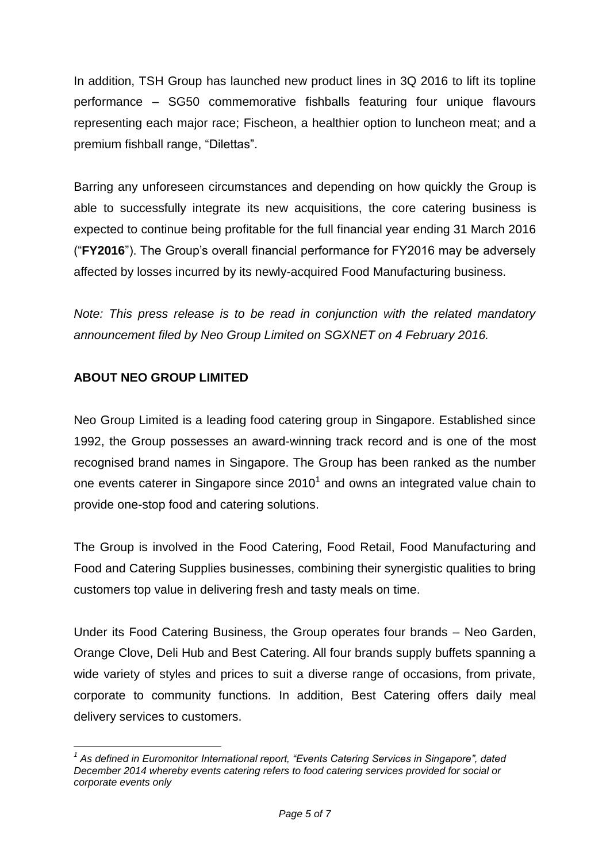In addition, TSH Group has launched new product lines in 3Q 2016 to lift its topline performance – SG50 commemorative fishballs featuring four unique flavours representing each major race; Fischeon, a healthier option to luncheon meat; and a premium fishball range, "Dilettas".

Barring any unforeseen circumstances and depending on how quickly the Group is able to successfully integrate its new acquisitions, the core catering business is expected to continue being profitable for the full financial year ending 31 March 2016 ("**FY2016**"). The Group's overall financial performance for FY2016 may be adversely affected by losses incurred by its newly-acquired Food Manufacturing business.

*Note: This press release is to be read in conjunction with the related mandatory announcement filed by Neo Group Limited on SGXNET on 4 February 2016.*

## **ABOUT NEO GROUP LIMITED**

Neo Group Limited is a leading food catering group in Singapore. Established since 1992, the Group possesses an award-winning track record and is one of the most recognised brand names in Singapore. The Group has been ranked as the number one events caterer in Singapore since 2010<sup>1</sup> and owns an integrated value chain to provide one-stop food and catering solutions.

The Group is involved in the Food Catering, Food Retail, Food Manufacturing and Food and Catering Supplies businesses, combining their synergistic qualities to bring customers top value in delivering fresh and tasty meals on time.

Under its Food Catering Business, the Group operates four brands – Neo Garden, Orange Clove, Deli Hub and Best Catering. All four brands supply buffets spanning a wide variety of styles and prices to suit a diverse range of occasions, from private, corporate to community functions. In addition, Best Catering offers daily meal delivery services to customers.

<sup>&</sup>lt;u>.</u> *1 As defined in Euromonitor International report, "Events Catering Services in Singapore", dated December 2014 whereby events catering refers to food catering services provided for social or corporate events only*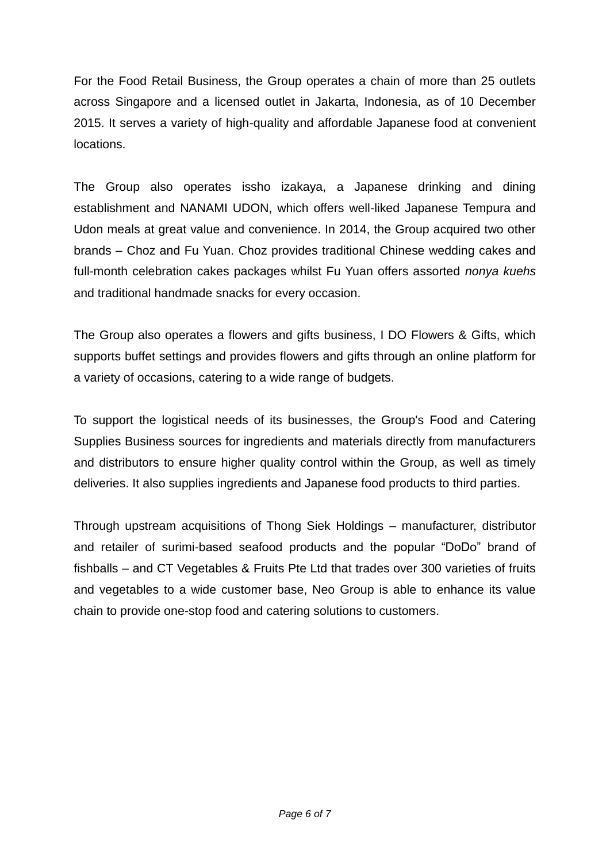For the Food Retail Business, the Group operates a chain of more than 25 outlets across Singapore and a licensed outlet in Jakarta, Indonesia, as of 10 December 2015. It serves a variety of high-quality and affordable Japanese food at convenient locations.

The Group also operates issho izakaya, a Japanese drinking and dining establishment and NANAMI UDON, which offers well-liked Japanese Tempura and Udon meals at great value and convenience. In 2014, the Group acquired two other brands – Choz and Fu Yuan. Choz provides traditional Chinese wedding cakes and full-month celebration cakes packages whilst Fu Yuan offers assorted *nonya kuehs* and traditional handmade snacks for every occasion.

The Group also operates a flowers and gifts business, I DO Flowers & Gifts, which supports buffet settings and provides flowers and gifts through an online platform for a variety of occasions, catering to a wide range of budgets.

To support the logistical needs of its businesses, the Group's Food and Catering Supplies Business sources for ingredients and materials directly from manufacturers and distributors to ensure higher quality control within the Group, as well as timely deliveries. It also supplies ingredients and Japanese food products to third parties.

Through upstream acquisitions of Thong Siek Holdings – manufacturer, distributor and retailer of surimi-based seafood products and the popular "DoDo" brand of fishballs – and CT Vegetables & Fruits Pte Ltd that trades over 300 varieties of fruits and vegetables to a wide customer base, Neo Group is able to enhance its value chain to provide one-stop food and catering solutions to customers.